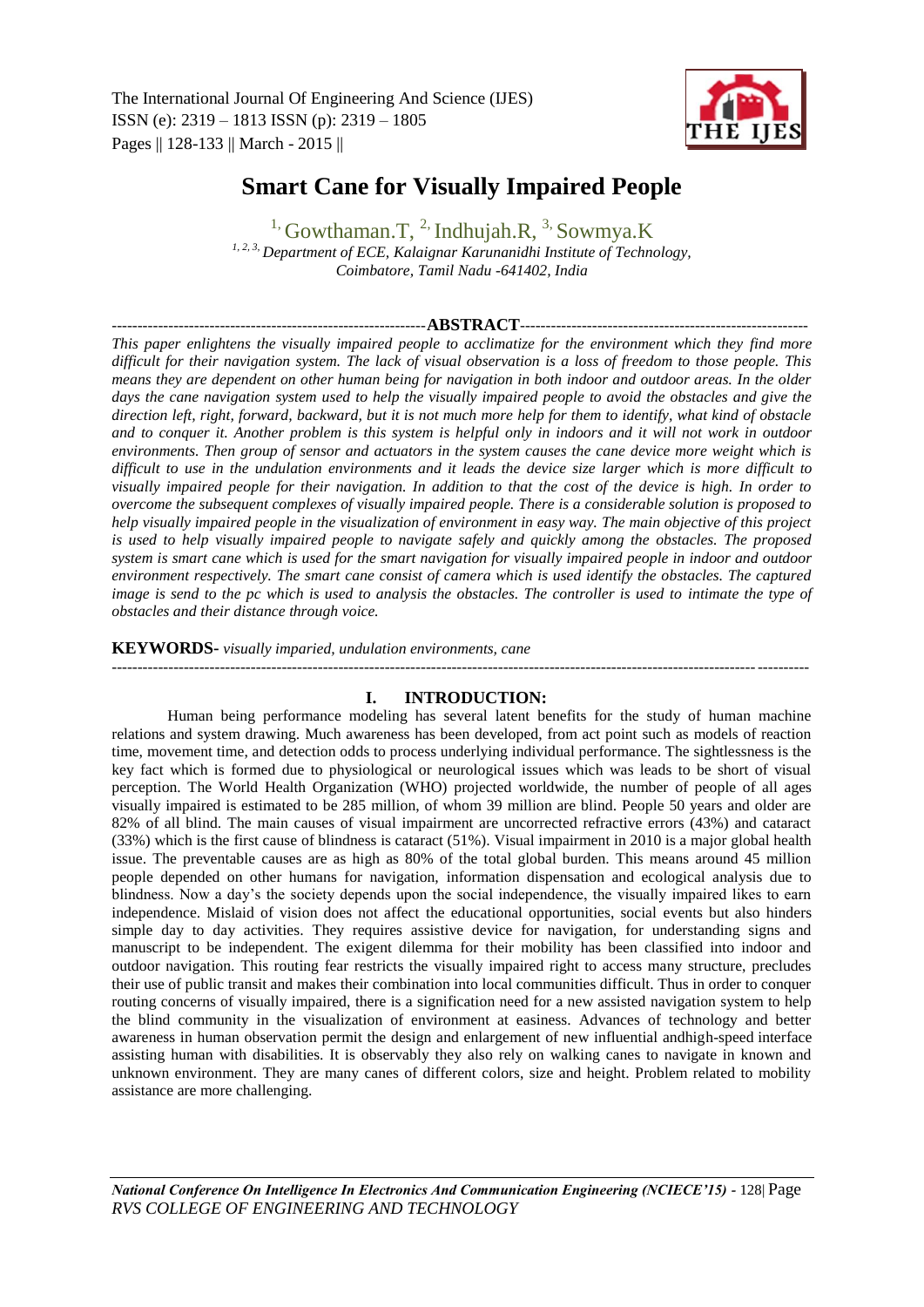

# **Smart Cane for Visually Impaired People**

<sup>1,</sup> Gowthaman.T, <sup>2,</sup> Indhujah.R, <sup>3,</sup> Sowmya.K *1, 2, 3, Department of ECE, Kalaignar Karunanidhi Institute of Technology, Coimbatore, Tamil Nadu -641402, India*

## -------------------------------------------------------------**ABSTRACT**--------------------------------------------------------

*This paper enlightens the visually impaired people to acclimatize for the environment which they find more difficult for their navigation system. The lack of visual observation is a loss of freedom to those people. This means they are dependent on other human being for navigation in both indoor and outdoor areas. In the older*  days the cane navigation system used to help the visually impaired people to avoid the obstacles and give the *direction left, right, forward, backward, but it is not much more help for them to identify, what kind of obstacle and to conquer it. Another problem is this system is helpful only in indoors and it will not work in outdoor environments. Then group of sensor and actuators in the system causes the cane device more weight which is difficult to use in the undulation environments and it leads the device size larger which is more difficult to visually impaired people for their navigation. In addition to that the cost of the device is high. In order to overcome the subsequent complexes of visually impaired people. There is a considerable solution is proposed to help visually impaired people in the visualization of environment in easy way. The main objective of this project is used to help visually impaired people to navigate safely and quickly among the obstacles. The proposed system is smart cane which is used for the smart navigation for visually impaired people in indoor and outdoor environment respectively. The smart cane consist of camera which is used identify the obstacles. The captured image is send to the pc which is used to analysis the obstacles. The controller is used to intimate the type of obstacles and their distance through voice.*

**KEYWORDS-** *visually imparied, undulation environments, cane*

## **I. INTRODUCTION:**

---------------------------------------------------------------------------------------------------------------------------------------

Human being performance modeling has several latent benefits for the study of human machine relations and system drawing. Much awareness has been developed, from act point such as models of reaction time, movement time, and detection odds to process underlying individual performance. The sightlessness is the key fact which is formed due to physiological or neurological issues which was leads to be short of visual perception. The World Health Organization (WHO) projected worldwide, the number of people of all ages visually impaired is estimated to be 285 million, of whom 39 million are blind. People 50 years and older are 82% of all blind. The main causes of visual impairment are uncorrected refractive errors (43%) and cataract (33%) which is the first cause of blindness is cataract (51%). Visual impairment in 2010 is a major global health issue. The preventable causes are as high as 80% of the total global burden. This means around 45 million people depended on other humans for navigation, information dispensation and ecological analysis due to blindness. Now a day's the society depends upon the social independence, the visually impaired likes to earn independence. Mislaid of vision does not affect the educational opportunities, social events but also hinders simple day to day activities. They requires assistive device for navigation, for understanding signs and manuscript to be independent. The exigent dilemma for their mobility has been classified into indoor and outdoor navigation. This routing fear restricts the visually impaired right to access many structure, precludes their use of public transit and makes their combination into local communities difficult. Thus in order to conquer routing concerns of visually impaired, there is a signification need for a new assisted navigation system to help the blind community in the visualization of environment at easiness. Advances of technology and better awareness in human observation permit the design and enlargement of new influential andhigh-speed interface assisting human with disabilities. It is observably they also rely on walking canes to navigate in known and unknown environment. They are many canes of different colors, size and height. Problem related to mobility assistance are more challenging.

*National Conference On Intelligence In Electronics And Communication Engineering (NCIECE'15) -* 128| Page *RVS COLLEGE OF ENGINEERING AND TECHNOLOGY*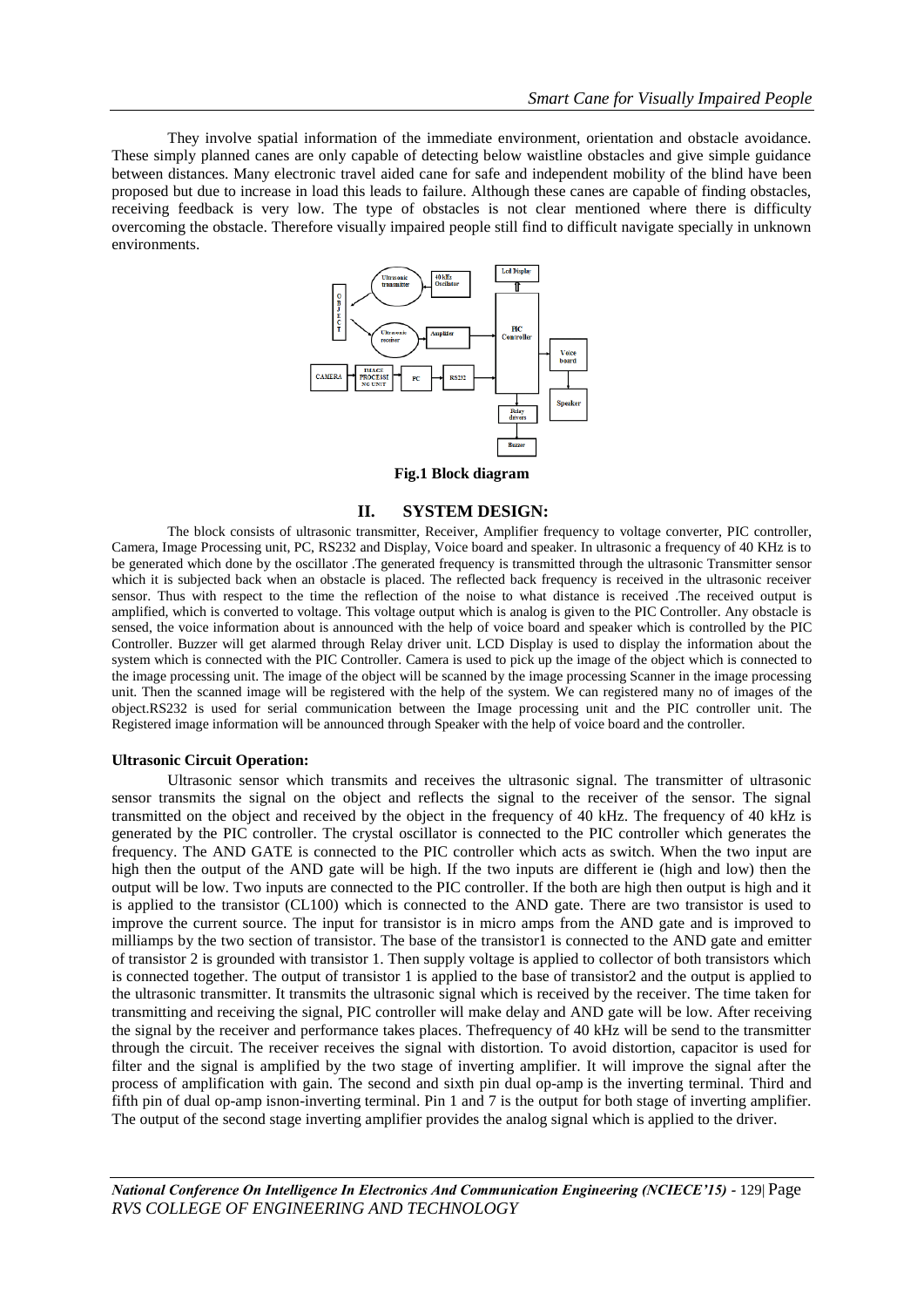They involve spatial information of the immediate environment, orientation and obstacle avoidance. These simply planned canes are only capable of detecting below waistline obstacles and give simple guidance between distances. Many electronic travel aided cane for safe and independent mobility of the blind have been proposed but due to increase in load this leads to failure. Although these canes are capable of finding obstacles, receiving feedback is very low. The type of obstacles is not clear mentioned where there is difficulty overcoming the obstacle. Therefore visually impaired people still find to difficult navigate specially in unknown environments.



**Fig.1 Block diagram**

#### **II. SYSTEM DESIGN:**

The block consists of ultrasonic transmitter, Receiver, Amplifier frequency to voltage converter, PIC controller, Camera, Image Processing unit, PC, RS232 and Display, Voice board and speaker. In ultrasonic a frequency of 40 KHz is to be generated which done by the oscillator .The generated frequency is transmitted through the ultrasonic Transmitter sensor which it is subjected back when an obstacle is placed. The reflected back frequency is received in the ultrasonic receiver sensor. Thus with respect to the time the reflection of the noise to what distance is received .The received output is amplified, which is converted to voltage. This voltage output which is analog is given to the PIC Controller. Any obstacle is sensed, the voice information about is announced with the help of voice board and speaker which is controlled by the PIC Controller. Buzzer will get alarmed through Relay driver unit. LCD Display is used to display the information about the system which is connected with the PIC Controller. Camera is used to pick up the image of the object which is connected to the image processing unit. The image of the object will be scanned by the image processing Scanner in the image processing unit. Then the scanned image will be registered with the help of the system. We can registered many no of images of the object.RS232 is used for serial communication between the Image processing unit and the PIC controller unit. The Registered image information will be announced through Speaker with the help of voice board and the controller.

#### **Ultrasonic Circuit Operation:**

Ultrasonic sensor which transmits and receives the ultrasonic signal. The transmitter of ultrasonic sensor transmits the signal on the object and reflects the signal to the receiver of the sensor. The signal transmitted on the object and received by the object in the frequency of 40 kHz. The frequency of 40 kHz is generated by the PIC controller. The crystal oscillator is connected to the PIC controller which generates the frequency. The AND GATE is connected to the PIC controller which acts as switch. When the two input are high then the output of the AND gate will be high. If the two inputs are different ie (high and low) then the output will be low. Two inputs are connected to the PIC controller. If the both are high then output is high and it is applied to the transistor (CL100) which is connected to the AND gate. There are two transistor is used to improve the current source. The input for transistor is in micro amps from the AND gate and is improved to milliamps by the two section of transistor. The base of the transistor1 is connected to the AND gate and emitter of transistor 2 is grounded with transistor 1. Then supply voltage is applied to collector of both transistors which is connected together. The output of transistor 1 is applied to the base of transistor2 and the output is applied to the ultrasonic transmitter. It transmits the ultrasonic signal which is received by the receiver. The time taken for transmitting and receiving the signal, PIC controller will make delay and AND gate will be low. After receiving the signal by the receiver and performance takes places. Thefrequency of 40 kHz will be send to the transmitter through the circuit. The receiver receives the signal with distortion. To avoid distortion, capacitor is used for filter and the signal is amplified by the two stage of inverting amplifier. It will improve the signal after the process of amplification with gain. The second and sixth pin dual op-amp is the inverting terminal. Third and fifth pin of dual op-amp isnon-inverting terminal. Pin 1 and 7 is the output for both stage of inverting amplifier. The output of the second stage inverting amplifier provides the analog signal which is applied to the driver.

*National Conference On Intelligence In Electronics And Communication Engineering (NCIECE'15) -* 129| Page *RVS COLLEGE OF ENGINEERING AND TECHNOLOGY*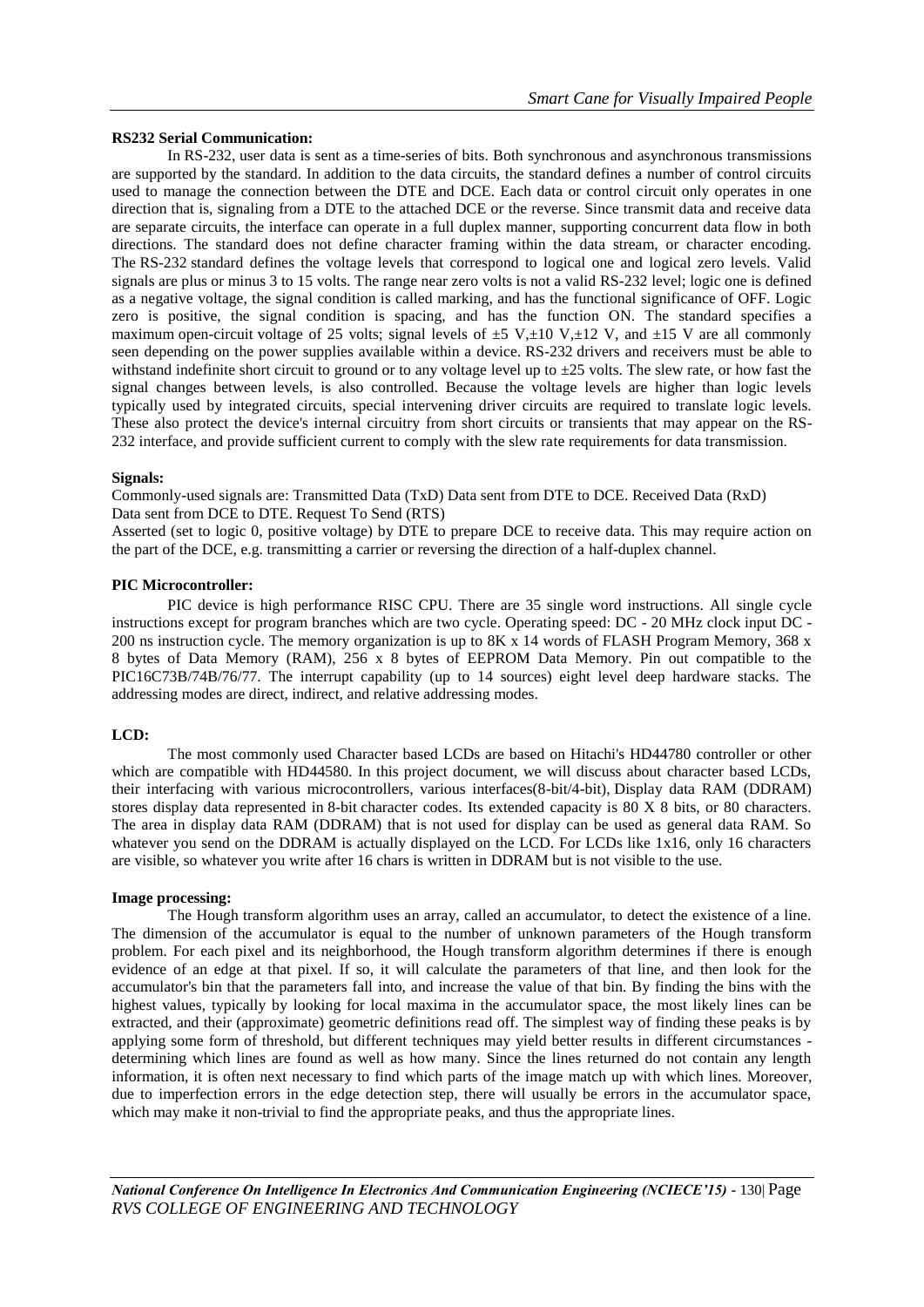## **RS232 Serial Communication:**

In RS-232, user data is sent as a time-series of bits. Both synchronous and asynchronous transmissions are supported by the standard. In addition to the data circuits, the standard defines a number of control circuits used to manage the connection between the DTE and DCE. Each data or control circuit only operates in one direction that is, signaling from a DTE to the attached DCE or the reverse. Since transmit data and receive data are separate circuits, the interface can operate in a full duplex manner, supporting concurrent data flow in both directions. The standard does not define character framing within the data stream, or character encoding. The RS-232 standard defines the voltage levels that correspond to logical one and logical zero levels. Valid signals are plus or minus 3 to 15 volts. The range near zero volts is not a valid RS-232 level; logic one is defined as a negative voltage, the signal condition is called marking, and has the functional significance of OFF. Logic zero is positive, the signal condition is spacing, and has the function ON. The standard specifies a maximum open-circuit voltage of 25 volts; signal levels of  $\pm$ 5 V, $\pm$ 10 V, $\pm$ 12 V, and  $\pm$ 15 V are all commonly seen depending on the power supplies available within a device. RS-232 drivers and receivers must be able to withstand indefinite short circuit to ground or to any voltage level up to  $\pm 25$  volts. The slew rate, or how fast the signal changes between levels, is also controlled. Because the voltage levels are higher than logic levels typically used by integrated circuits, special intervening driver circuits are required to translate logic levels. These also protect the device's internal circuitry from short circuits or transients that may appear on the RS-232 interface, and provide sufficient current to comply with the slew rate requirements for data transmission.

## **Signals:**

Commonly-used signals are: Transmitted Data (TxD) Data sent from DTE to DCE. Received Data (RxD) Data sent from DCE to DTE. Request To Send (RTS)

Asserted (set to logic 0, positive voltage) by DTE to prepare DCE to receive data. This may require action on the part of the DCE, e.g. transmitting a carrier or reversing the direction of a half-duplex channel.

## **PIC Microcontroller:**

PIC device is high performance RISC CPU. There are 35 single word instructions. All single cycle instructions except for program branches which are two cycle. Operating speed: DC - 20 MHz clock input DC - 200 ns instruction cycle. The memory organization is up to 8K x 14 words of FLASH Program Memory, 368 x 8 bytes of Data Memory (RAM), 256 x 8 bytes of EEPROM Data Memory. Pin out compatible to the PIC16C73B/74B/76/77. The interrupt capability (up to 14 sources) eight level deep hardware stacks. The addressing modes are direct, indirect, and relative addressing modes.

## **LCD:**

The most commonly used Character based LCDs are based on Hitachi's HD44780 controller or other which are compatible with HD44580. In this project document, we will discuss about character based LCDs, their interfacing with various microcontrollers, various interfaces(8-bit/4-bit), Display data RAM (DDRAM) stores display data represented in 8-bit character codes. Its extended capacity is 80 X 8 bits, or 80 characters. The area in display data RAM (DDRAM) that is not used for display can be used as general data RAM. So whatever you send on the DDRAM is actually displayed on the LCD. For LCDs like 1x16, only 16 characters are visible, so whatever you write after 16 chars is written in DDRAM but is not visible to the use.

#### **Image processing:**

The Hough transform algorithm uses an array, called an accumulator, to detect the existence of a line. The dimension of the accumulator is equal to the number of unknown parameters of the Hough transform problem. For each pixel and its neighborhood, the Hough transform algorithm determines if there is enough evidence of an edge at that pixel. If so, it will calculate the parameters of that line, and then look for the accumulator's bin that the parameters fall into, and increase the value of that bin. By finding the bins with the highest values, typically by looking for local maxima in the accumulator space, the most likely lines can be extracted, and their (approximate) geometric definitions read off. The simplest way of finding these peaks is by applying some form of threshold, but different techniques may yield better results in different circumstances determining which lines are found as well as how many. Since the lines returned do not contain any length information, it is often next necessary to find which parts of the image match up with which lines. Moreover, due to imperfection errors in the edge detection step, there will usually be errors in the accumulator space, which may make it non-trivial to find the appropriate peaks, and thus the appropriate lines.

*National Conference On Intelligence In Electronics And Communication Engineering (NCIECE'15) -* 130| Page *RVS COLLEGE OF ENGINEERING AND TECHNOLOGY*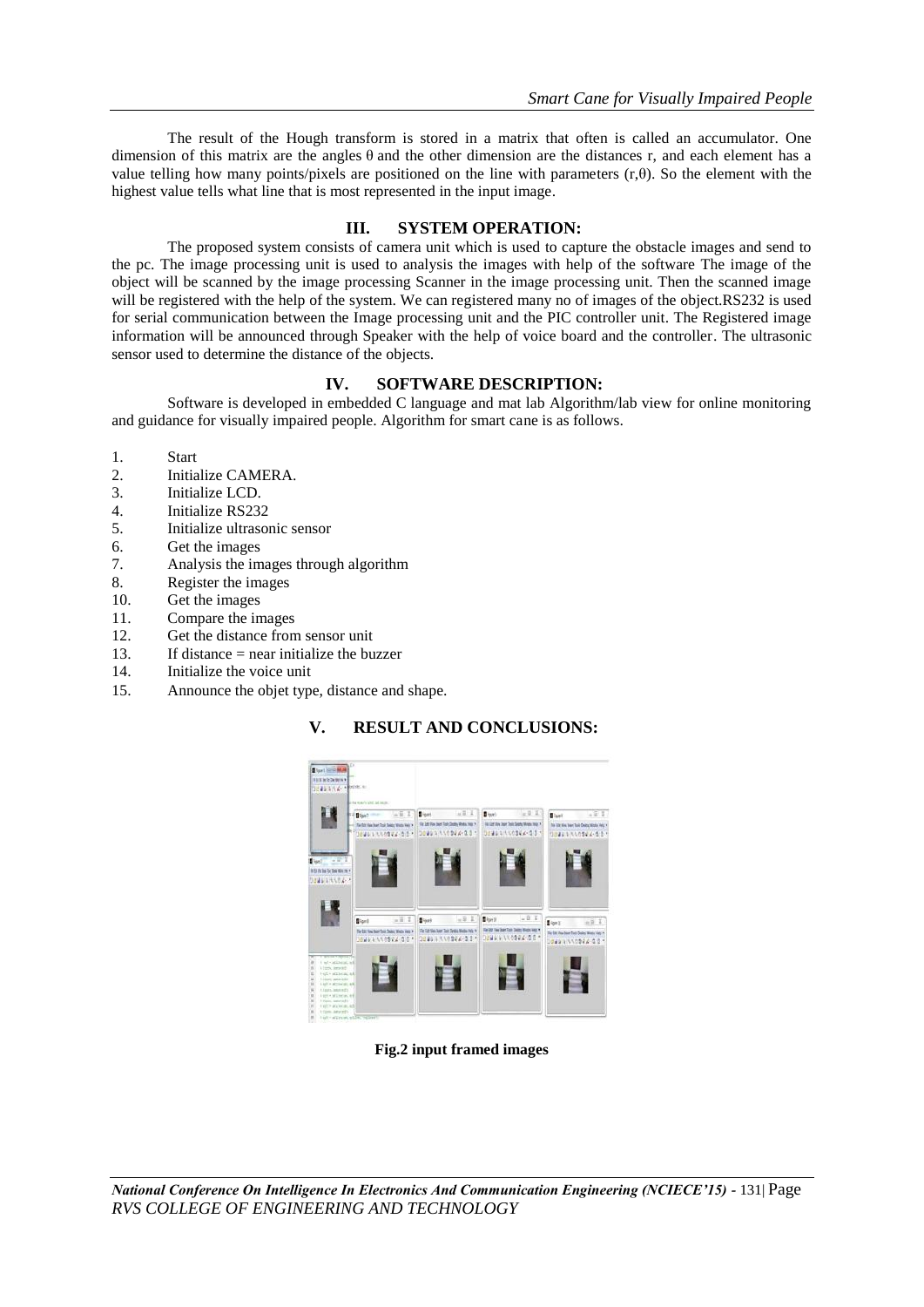The result of the Hough transform is stored in a matrix that often is called an accumulator. One dimension of this matrix are the angles  $\theta$  and the other dimension are the distances r, and each element has a value telling how many points/pixels are positioned on the line with parameters  $(r,θ)$ . So the element with the highest value tells what line that is most represented in the input image.

## **III. SYSTEM OPERATION:**

The proposed system consists of camera unit which is used to capture the obstacle images and send to the pc. The image processing unit is used to analysis the images with help of the software The image of the object will be scanned by the image processing Scanner in the image processing unit. Then the scanned image will be registered with the help of the system. We can registered many no of images of the object.RS232 is used for serial communication between the Image processing unit and the PIC controller unit. The Registered image information will be announced through Speaker with the help of voice board and the controller. The ultrasonic sensor used to determine the distance of the objects.

## **IV. SOFTWARE DESCRIPTION:**

Software is developed in embedded C language and mat lab Algorithm/lab view for online monitoring and guidance for visually impaired people. Algorithm for smart cane is as follows.

- 1. Start
- 2. Initialize CAMERA.
- 3. Initialize LCD.
- 4. Initialize RS232
- 5. Initialize ultrasonic sensor
- 6. Get the images
- 7. Analysis the images through algorithm
- 8. Register the images
- 10. Get the images
- 11. Compare the images
- 12. Get the distance from sensor unit
- 13. If distance = near initialize the buzzer
- 14. Initialize the voice unit
- 15. Announce the objet type, distance and shape.

## **V. RESULT AND CONCLUSIONS:**



**Fig.2 input framed images**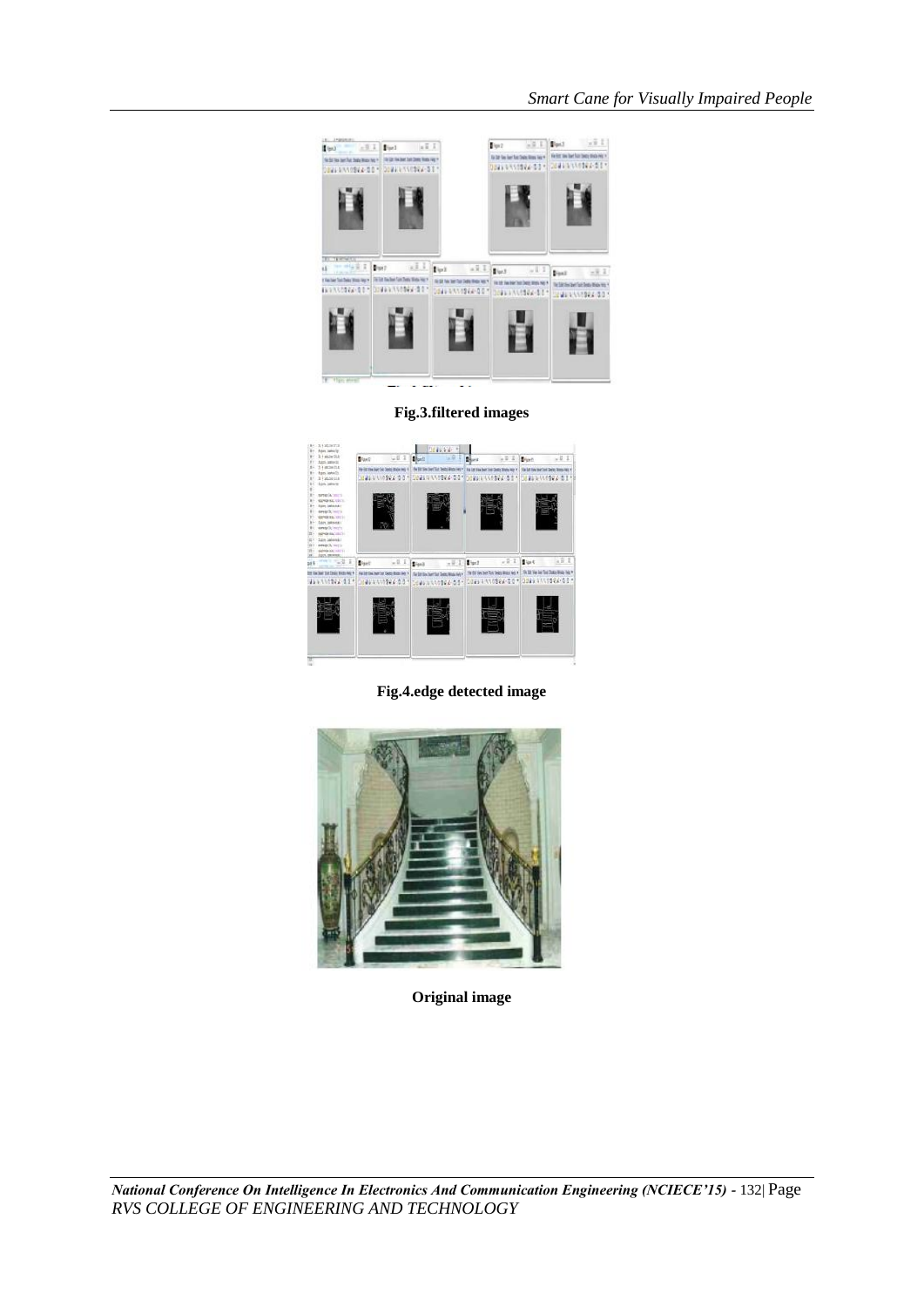

**Fig.3.filtered images**



**Fig.4.edge detected image**



**Original image**